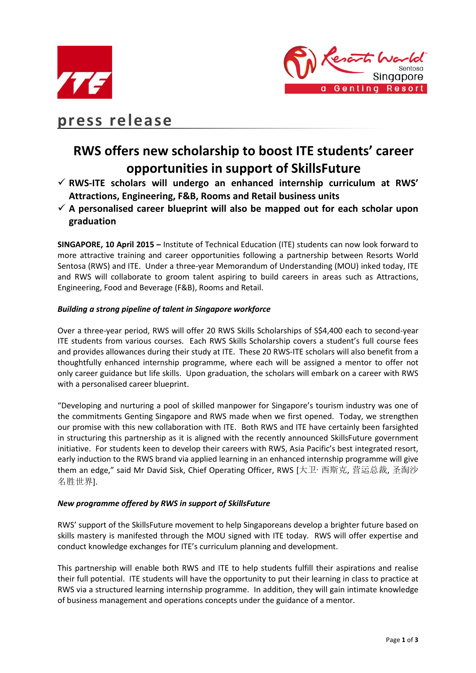



# **press release**

# **RWS offers new scholarship to boost ITE students' career opportunities in support of SkillsFuture**

- **RWS-ITE scholars will undergo an enhanced internship curriculum at RWS' Attractions, Engineering, F&B, Rooms and Retail business units**
- **A personalised career blueprint will also be mapped out for each scholar upon graduation**

**SINGAPORE, 10 April 2015 –** Institute of Technical Education (ITE) students can now look forward to more attractive training and career opportunities following a partnership between Resorts World Sentosa (RWS) and ITE. Under a three-year Memorandum of Understanding (MOU) inked today, ITE and RWS will collaborate to groom talent aspiring to build careers in areas such as Attractions, Engineering, Food and Beverage (F&B), Rooms and Retail.

## *Building a strong pipeline of talent in Singapore workforce*

Over a three-year period, RWS will offer 20 RWS Skills Scholarships of S\$4,400 each to second-year ITE students from various courses. Each RWS Skills Scholarship covers a student's full course fees and provides allowances during their study at ITE. These 20 RWS-ITE scholars will also benefit from a thoughtfully enhanced internship programme, where each will be assigned a mentor to offer not only career guidance but life skills. Upon graduation, the scholars will embark on a career with RWS with a personalised career blueprint.

"Developing and nurturing a pool of skilled manpower for Singapore's tourism industry was one of the commitments Genting Singapore and RWS made when we first opened. Today, we strengthen our promise with this new collaboration with ITE. Both RWS and ITE have certainly been farsighted in structuring this partnership as it is aligned with the recently announced SkillsFuture government initiative. For students keen to develop their careers with RWS, Asia Pacific's best integrated resort, early induction to the RWS brand via applied learning in an enhanced internship programme will give them an edge," said Mr David Sisk, Chief Operating Officer, RWS [大卫·西斯克, 营运总裁, 圣淘沙 名胜世界].

## *New programme offered by RWS in support of SkillsFuture*

RWS' support of the SkillsFuture movement to help Singaporeans develop a brighter future based on skills mastery is manifested through the MOU signed with ITE today. RWS will offer expertise and conduct knowledge exchanges for ITE's curriculum planning and development.

This partnership will enable both RWS and ITE to help students fulfill their aspirations and realise their full potential. ITE students will have the opportunity to put their learning in class to practice at RWS via a structured learning internship programme. In addition, they will gain intimate knowledge of business management and operations concepts under the guidance of a mentor.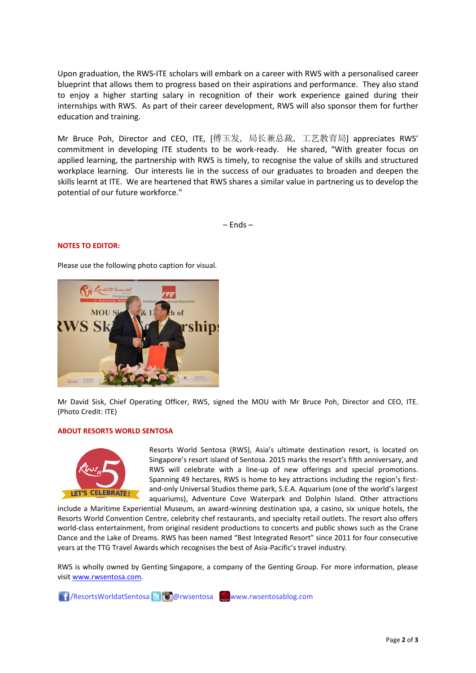Upon graduation, the RWS-ITE scholars will embark on a career with RWS with a personalised career blueprint that allows them to progress based on their aspirations and performance. They also stand to enjoy a higher starting salary in recognition of their work experience gained during their internships with RWS. As part of their career development, RWS will also sponsor them for further education and training.

Mr Bruce Poh, Director and CEO, ITE, [傅玉发, 局长兼总裁, 工艺教育局] appreciates RWS' commitment in developing ITE students to be work-ready. He shared, "With greater focus on applied learning, the partnership with RWS is timely, to recognise the value of skills and structured workplace learning. Our interests lie in the success of our graduates to broaden and deepen the skills learnt at ITE. We are heartened that RWS shares a similar value in partnering us to develop the potential of our future workforce."

– Ends –

### **NOTES TO EDITOR:**

Please use the following photo caption for visual.



Mr David Sisk, Chief Operating Officer, RWS, signed the MOU with Mr Bruce Poh, Director and CEO, ITE. (Photo Credit: ITE)

#### **ABOUT RESORTS WORLD SENTOSA**



Resorts World Sentosa (RWS), Asia's ultimate destination resort, is located on Singapore's resort island of Sentosa. 2015 marks the resort's fifth anniversary, and RWS will celebrate with a line-up of new offerings and special promotions. Spanning 49 hectares, RWS is home to key attractions including the region's firstand-only Universal Studios theme park, S.E.A. Aquarium (one of the world's largest aquariums), Adventure Cove Waterpark and Dolphin Island. Other attractions

include a Maritime Experiential Museum, an award-winning destination spa, a casino, six unique hotels, the Resorts World Convention Centre, celebrity chef restaurants, and specialty retail outlets. The resort also offers world-class entertainment, from original resident productions to concerts and public shows such as the Crane Dance and the Lake of Dreams. RWS has been named "Best Integrated Resort" since 2011 for four consecutive years at the TTG Travel Awards which recognises the best of Asia-Pacific's travel industry.

RWS is wholly owned by Genting Singapore, a company of the Genting Group. For more information, please visi[t www.rwsentosa.com.](http://www.rwsentosa.com/)

1 /ResortsWorldatSentosa B @rwsentosa www.rwsentosablog.com